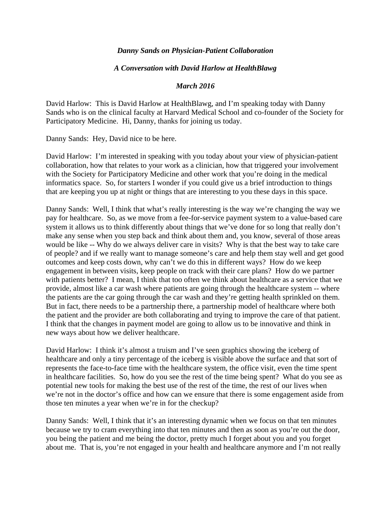## *Danny Sands on Physician-Patient Collaboration*

## *A Conversation with David Harlow at HealthBlawg*

## *March 2016*

David Harlow: This is David Harlow at HealthBlawg, and I'm speaking today with Danny Sands who is on the clinical faculty at Harvard Medical School and co-founder of the Society for Participatory Medicine. Hi, Danny, thanks for joining us today.

Danny Sands: Hey, David nice to be here.

David Harlow: I'm interested in speaking with you today about your view of physician-patient collaboration, how that relates to your work as a clinician, how that triggered your involvement with the Society for Participatory Medicine and other work that you're doing in the medical informatics space. So, for starters I wonder if you could give us a brief introduction to things that are keeping you up at night or things that are interesting to you these days in this space.

Danny Sands: Well, I think that what's really interesting is the way we're changing the way we pay for healthcare. So, as we move from a fee-for-service payment system to a value-based care system it allows us to think differently about things that we've done for so long that really don't make any sense when you step back and think about them and, you know, several of those areas would be like -- Why do we always deliver care in visits? Why is that the best way to take care of people? and if we really want to manage someone's care and help them stay well and get good outcomes and keep costs down, why can't we do this in different ways? How do we keep engagement in between visits, keep people on track with their care plans? How do we partner with patients better? I mean, I think that too often we think about healthcare as a service that we provide, almost like a car wash where patients are going through the healthcare system -- where the patients are the car going through the car wash and they're getting health sprinkled on them. But in fact, there needs to be a partnership there, a partnership model of healthcare where both the patient and the provider are both collaborating and trying to improve the care of that patient. I think that the changes in payment model are going to allow us to be innovative and think in new ways about how we deliver healthcare.

David Harlow: I think it's almost a truism and I've seen graphics showing the iceberg of healthcare and only a tiny percentage of the iceberg is visible above the surface and that sort of represents the face-to-face time with the healthcare system, the office visit, even the time spent in healthcare facilities. So, how do you see the rest of the time being spent? What do you see as potential new tools for making the best use of the rest of the time, the rest of our lives when we're not in the doctor's office and how can we ensure that there is some engagement aside from those ten minutes a year when we're in for the checkup?

Danny Sands: Well, I think that it's an interesting dynamic when we focus on that ten minutes because we try to cram everything into that ten minutes and then as soon as you're out the door, you being the patient and me being the doctor, pretty much I forget about you and you forget about me. That is, you're not engaged in your health and healthcare anymore and I'm not really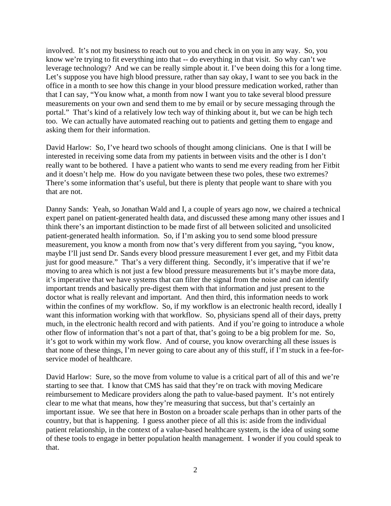involved. It's not my business to reach out to you and check in on you in any way. So, you know we're trying to fit everything into that -- do everything in that visit. So why can't we leverage technology? And we can be really simple about it. I've been doing this for a long time. Let's suppose you have high blood pressure, rather than say okay, I want to see you back in the office in a month to see how this change in your blood pressure medication worked, rather than that I can say, "You know what, a month from now I want you to take several blood pressure measurements on your own and send them to me by email or by secure messaging through the portal." That's kind of a relatively low tech way of thinking about it, but we can be high tech too. We can actually have automated reaching out to patients and getting them to engage and asking them for their information.

David Harlow: So, I've heard two schools of thought among clinicians. One is that I will be interested in receiving some data from my patients in between visits and the other is I don't really want to be bothered. I have a patient who wants to send me every reading from her Fitbit and it doesn't help me. How do you navigate between these two poles, these two extremes? There's some information that's useful, but there is plenty that people want to share with you that are not.

Danny Sands: Yeah, so Jonathan Wald and I, a couple of years ago now, we chaired a technical expert panel on patient-generated health data, and discussed these among many other issues and I think there's an important distinction to be made first of all between solicited and unsolicited patient-generated health information. So, if I'm asking you to send some blood pressure measurement, you know a month from now that's very different from you saying, "you know, maybe I'll just send Dr. Sands every blood pressure measurement I ever get, and my Fitbit data just for good measure." That's a very different thing. Secondly, it's imperative that if we're moving to area which is not just a few blood pressure measurements but it's maybe more data, it's imperative that we have systems that can filter the signal from the noise and can identify important trends and basically pre-digest them with that information and just present to the doctor what is really relevant and important. And then third, this information needs to work within the confines of my workflow. So, if my workflow is an electronic health record, ideally I want this information working with that workflow. So, physicians spend all of their days, pretty much, in the electronic health record and with patients. And if you're going to introduce a whole other flow of information that's not a part of that, that's going to be a big problem for me. So, it's got to work within my work flow. And of course, you know overarching all these issues is that none of these things, I'm never going to care about any of this stuff, if I'm stuck in a fee-forservice model of healthcare.

David Harlow: Sure, so the move from volume to value is a critical part of all of this and we're starting to see that. I know that CMS has said that they're on track with moving Medicare reimbursement to Medicare providers along the path to value-based payment. It's not entirely clear to me what that means, how they're measuring that success, but that's certainly an important issue. We see that here in Boston on a broader scale perhaps than in other parts of the country, but that is happening. I guess another piece of all this is: aside from the individual patient relationship, in the context of a value-based healthcare system, is the idea of using some of these tools to engage in better population health management. I wonder if you could speak to that.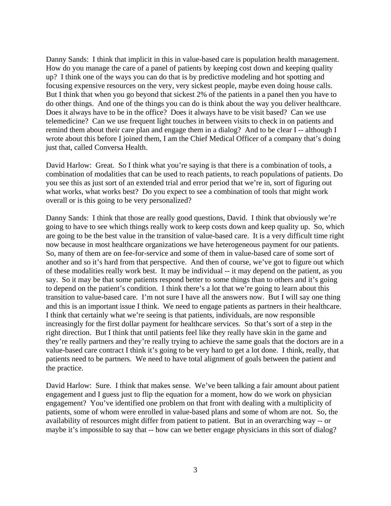Danny Sands: I think that implicit in this in value-based care is population health management. How do you manage the care of a panel of patients by keeping cost down and keeping quality up? I think one of the ways you can do that is by predictive modeling and hot spotting and focusing expensive resources on the very, very sickest people, maybe even doing house calls. But I think that when you go beyond that sickest 2% of the patients in a panel then you have to do other things. And one of the things you can do is think about the way you deliver healthcare. Does it always have to be in the office? Does it always have to be visit based? Can we use telemedicine? Can we use frequent light touches in between visits to check in on patients and remind them about their care plan and engage them in a dialog? And to be clear I -- although I wrote about this before I joined them, I am the Chief Medical Officer of a company that's doing just that, called Conversa Health.

David Harlow: Great. So I think what you're saying is that there is a combination of tools, a combination of modalities that can be used to reach patients, to reach populations of patients. Do you see this as just sort of an extended trial and error period that we're in, sort of figuring out what works, what works best? Do you expect to see a combination of tools that might work overall or is this going to be very personalized?

Danny Sands: I think that those are really good questions, David. I think that obviously we're going to have to see which things really work to keep costs down and keep quality up. So, which are going to be the best value in the transition of value-based care. It is a very difficult time right now because in most healthcare organizations we have heterogeneous payment for our patients. So, many of them are on fee-for-service and some of them in value-based care of some sort of another and so it's hard from that perspective. And then of course, we've got to figure out which of these modalities really work best. It may be individual -- it may depend on the patient, as you say. So it may be that some patients respond better to some things than to others and it's going to depend on the patient's condition. I think there's a lot that we're going to learn about this transition to value-based care. I'm not sure I have all the answers now. But I will say one thing and this is an important issue I think. We need to engage patients as partners in their healthcare. I think that certainly what we're seeing is that patients, individuals, are now responsible increasingly for the first dollar payment for healthcare services. So that's sort of a step in the right direction. But I think that until patients feel like they really have skin in the game and they're really partners and they're really trying to achieve the same goals that the doctors are in a value-based care contract I think it's going to be very hard to get a lot done. I think, really, that patients need to be partners. We need to have total alignment of goals between the patient and the practice.

David Harlow: Sure. I think that makes sense. We've been talking a fair amount about patient engagement and I guess just to flip the equation for a moment, how do we work on physician engagement? You've identified one problem on that front with dealing with a multiplicity of patients, some of whom were enrolled in value-based plans and some of whom are not. So, the availability of resources might differ from patient to patient. But in an overarching way -- or maybe it's impossible to say that -- how can we better engage physicians in this sort of dialog?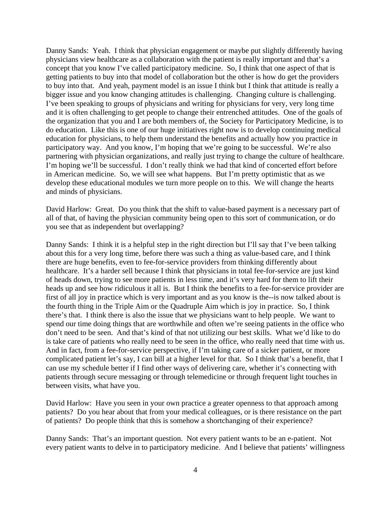Danny Sands: Yeah. I think that physician engagement or maybe put slightly differently having physicians view healthcare as a collaboration with the patient is really important and that's a concept that you know I've called participatory medicine. So, I think that one aspect of that is getting patients to buy into that model of collaboration but the other is how do get the providers to buy into that. And yeah, payment model is an issue I think but I think that attitude is really a bigger issue and you know changing attitudes is challenging. Changing culture is challenging. I've been speaking to groups of physicians and writing for physicians for very, very long time and it is often challenging to get people to change their entrenched attitudes. One of the goals of the organization that you and I are both members of, the Society for Participatory Medicine, is to do education. Like this is one of our huge initiatives right now is to develop continuing medical education for physicians, to help them understand the benefits and actually how you practice in participatory way. And you know, I'm hoping that we're going to be successful. We're also partnering with physician organizations, and really just trying to change the culture of healthcare. I'm hoping we'll be successful. I don't really think we had that kind of concerted effort before in American medicine. So, we will see what happens. But I'm pretty optimistic that as we develop these educational modules we turn more people on to this. We will change the hearts and minds of physicians.

David Harlow: Great. Do you think that the shift to value-based payment is a necessary part of all of that, of having the physician community being open to this sort of communication, or do you see that as independent but overlapping?

Danny Sands: I think it is a helpful step in the right direction but I'll say that I've been talking about this for a very long time, before there was such a thing as value-based care, and I think there are huge benefits, even to fee-for-service providers from thinking differently about healthcare. It's a harder sell because I think that physicians in total fee-for-service are just kind of heads down, trying to see more patients in less time, and it's very hard for them to lift their heads up and see how ridiculous it all is. But I think the benefits to a fee-for-service provider are first of all joy in practice which is very important and as you know is the--is now talked about is the fourth thing in the Triple Aim or the Quadruple Aim which is joy in practice. So, I think there's that. I think there is also the issue that we physicians want to help people. We want to spend our time doing things that are worthwhile and often we're seeing patients in the office who don't need to be seen. And that's kind of that not utilizing our best skills. What we'd like to do is take care of patients who really need to be seen in the office, who really need that time with us. And in fact, from a fee-for-service perspective, if I'm taking care of a sicker patient, or more complicated patient let's say, I can bill at a higher level for that. So I think that's a benefit, that I can use my schedule better if I find other ways of delivering care, whether it's connecting with patients through secure messaging or through telemedicine or through frequent light touches in between visits, what have you.

David Harlow: Have you seen in your own practice a greater openness to that approach among patients? Do you hear about that from your medical colleagues, or is there resistance on the part of patients? Do people think that this is somehow a shortchanging of their experience?

Danny Sands: That's an important question. Not every patient wants to be an e-patient. Not every patient wants to delve in to participatory medicine. And I believe that patients' willingness